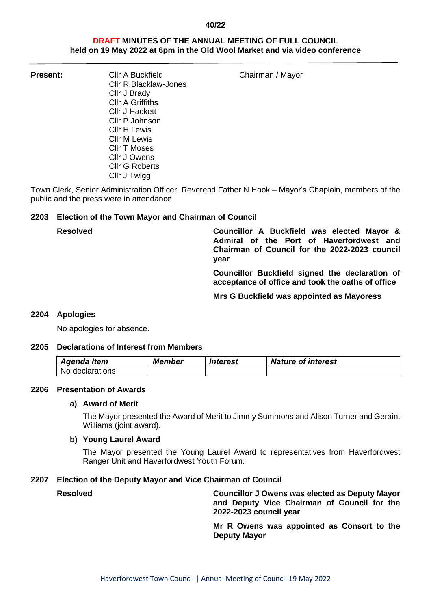#### **40/22**

## **DRAFT MINUTES OF THE ANNUAL MEETING OF FULL COUNCIL held on 19 May 2022 at 6pm in the Old Wool Market and via video conference**

**Present:** Cllr A Buckfield Chairman / Mayor

Cllr A Griffiths Cllr J Hackett Cllr P Johnson Cllr H Lewis Cllr M Lewis Cllr T Moses Cllr J Owens Cllr G Roberts Cllr J Twigg

Cllr R Blacklaw-Jones

Cllr J Brady

Town Clerk, Senior Administration Officer, Reverend Father N Hook – Mayor's Chaplain, members of the public and the press were in attendance

## **2203 Election of the Town Mayor and Chairman of Council**

**Resolved Councillor A Buckfield was elected Mayor & Admiral of the Port of Haverfordwest and Chairman of Council for the 2022-2023 council year**

> **Councillor Buckfield signed the declaration of acceptance of office and took the oaths of office**

**Mrs G Buckfield was appointed as Mayoress**

### **2204 Apologies**

No apologies for absence.

### **2205 Declarations of Interest from Members**

| Agenda Item       | <b>Member</b> | Interest | <b>Nature of interest</b> |
|-------------------|---------------|----------|---------------------------|
| l No declarations |               |          |                           |

### **2206 Presentation of Awards**

### **a) Award of Merit**

The Mayor presented the Award of Merit to Jimmy Summons and Alison Turner and Geraint Williams (joint award).

### **b) Young Laurel Award**

The Mayor presented the Young Laurel Award to representatives from Haverfordwest Ranger Unit and Haverfordwest Youth Forum.

### **2207 Election of the Deputy Mayor and Vice Chairman of Council**

**Resolved Councillor J Owens was elected as Deputy Mayor and Deputy Vice Chairman of Council for the 2022-2023 council year**

> **Mr R Owens was appointed as Consort to the Deputy Mayor**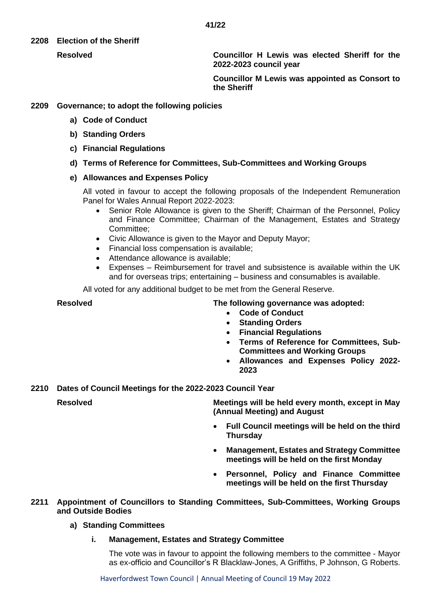## **2208 Election of the Sheriff**

**Resolved Councillor H Lewis was elected Sheriff for the 2022-2023 council year**

> **Councillor M Lewis was appointed as Consort to the Sheriff**

# **2209 Governance; to adopt the following policies**

- **a) Code of Conduct**
- **b) Standing Orders**
- **c) Financial Regulations**
- **d) Terms of Reference for Committees, Sub-Committees and Working Groups**

## **e) Allowances and Expenses Policy**

All voted in favour to accept the following proposals of the Independent Remuneration Panel for Wales Annual Report 2022-2023:

- Senior Role Allowance is given to the Sheriff; Chairman of the Personnel, Policy and Finance Committee; Chairman of the Management, Estates and Strategy Committee;
- Civic Allowance is given to the Mayor and Deputy Mayor;
- Financial loss compensation is available;
- Attendance allowance is available:
- Expenses Reimbursement for travel and subsistence is available within the UK and for overseas trips; entertaining – business and consumables is available.

All voted for any additional budget to be met from the General Reserve.

# **Resolved The following governance was adopted:**

- **Code of Conduct**
- **Standing Orders**
- **Financial Regulations**
- **Terms of Reference for Committees, Sub-Committees and Working Groups**
- **Allowances and Expenses Policy 2022- 2023**

**2210 Dates of Council Meetings for the 2022-2023 Council Year**

**Resolved Meetings will be held every month, except in May (Annual Meeting) and August**

- **Full Council meetings will be held on the third Thursday**
- **Management, Estates and Strategy Committee meetings will be held on the first Monday**
- **Personnel, Policy and Finance Committee meetings will be held on the first Thursday**

## **2211 Appointment of Councillors to Standing Committees, Sub-Committees, Working Groups and Outside Bodies**

# **a) Standing Committees**

# **i. Management, Estates and Strategy Committee**

The vote was in favour to appoint the following members to the committee - Mayor as ex-officio and Councillor's R Blacklaw-Jones, A Griffiths, P Johnson, G Roberts.